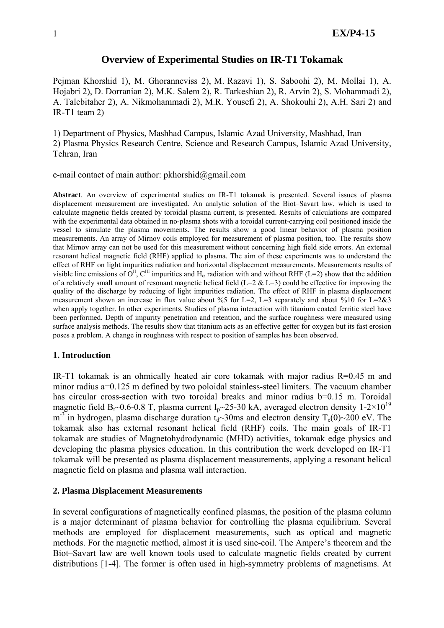# **Overview of Experimental Studies on IR-T1 Tokamak**

Pejman Khorshid 1), M. Ghoranneviss 2), M. Razavi 1), S. Saboohi 2), M. Mollai 1), A. Hojabri 2), D. Dorranian 2), M.K. Salem 2), R. Tarkeshian 2), R. Arvin 2), S. Mohammadi 2), A. Talebitaher 2), A. Nikmohammadi 2), M.R. Yousefi 2), A. Shokouhi 2), A.H. Sari 2) and IR-T1 team 2)

1) Department of Physics, Mashhad Campus, Islamic Azad University, Mashhad, Iran 2) Plasma Physics Research Centre, Science and Research Campus, Islamic Azad University, Tehran, Iran

e-mail contact of main author: pkhorshid@gmail.com

**Abstract**. An overview of experimental studies on IR-T1 tokamak is presented. Several issues of plasma displacement measurement are investigated. An analytic solution of the Biot–Savart law, which is used to calculate magnetic fields created by toroidal plasma current, is presented. Results of calculations are compared with the experimental data obtained in no-plasma shots with a toroidal current-carrying coil positioned inside the vessel to simulate the plasma movements. The results show a good linear behavior of plasma position measurements. An array of Mirnov coils employed for measurement of plasma position, too. The results show that Mirnov array can not be used for this measurement without concerning high field side errors. An external resonant helical magnetic field (RHF) applied to plasma. The aim of these experiments was to understand the effect of RHF on light impurities radiation and horizontal displacement measurements. Measurements results of visible line emissions of  $\dot{O}^{\text{II}}$ ,  $C^{\text{III}}$  impurities and H<sub>α</sub> radiation with and without RHF (L=2) show that the addition of a relatively small amount of resonant magnetic helical field (L=2  $\&$  L=3) could be effective for improving the quality of the discharge by reducing of light impurities radiation. The effect of RHF in plasma displacement measurement shown an increase in flux value about %5 for L=2, L=3 separately and about %10 for L=2&3 when apply together. In other experiments, Studies of plasma interaction with titanium coated ferritic steel have been performed. Depth of impurity penetration and retention, and the surface roughness were measured using surface analysis methods. The results show that titanium acts as an effective getter for oxygen but its fast erosion poses a problem. A change in roughness with respect to position of samples has been observed.

## **1. Introduction**

IR-T1 tokamak is an ohmically heated air core tokamak with major radius R=0.45 m and minor radius a=0.125 m defined by two poloidal stainless-steel limiters. The vacuum chamber has circular cross-section with two toroidal breaks and minor radius b=0.15 m. Toroidal magnetic field B<sub>t</sub>~0.6-0.8 T, plasma current I<sub>p</sub>~25-30 kA, averaged electron density 1-2×10<sup>19</sup>  $m^{-3}$  in hydrogen, plasma discharge duration  $t_d \sim 30$ ms and electron density T<sub>e</sub>(0)~200 eV. The tokamak also has external resonant helical field (RHF) coils. The main goals of IR-T1 tokamak are studies of Magnetohydrodynamic (MHD) activities, tokamak edge physics and developing the plasma physics education. In this contribution the work developed on IR-T1 tokamak will be presented as plasma displacement measurements, applying a resonant helical magnetic field on plasma and plasma wall interaction.

## **2. Plasma Displacement Measurements**

In several configurations of magnetically confined plasmas, the position of the plasma column is a major determinant of plasma behavior for controlling the plasma equilibrium. Several methods are employed for displacement measurements, such as optical and magnetic methods. For the magnetic method, almost it is used sine-coil. The Ampere's theorem and the Biot–Savart law are well known tools used to calculate magnetic fields created by current distributions [1-4]. The former is often used in high-symmetry problems of magnetisms. At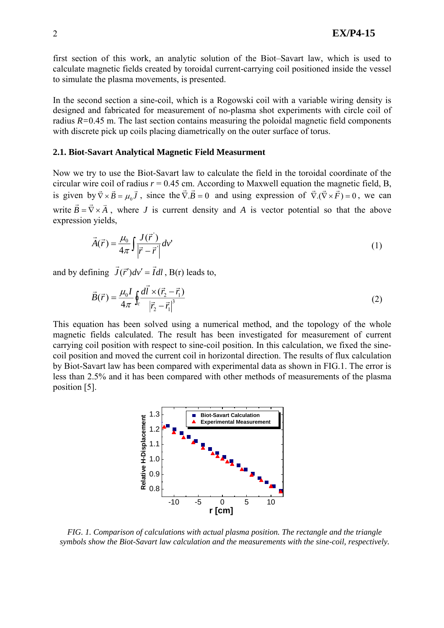first section of this work, an analytic solution of the Biot–Savart law, which is used to calculate magnetic fields created by toroidal current-carrying coil positioned inside the vessel to simulate the plasma movements, is presented.

In the second section a sine-coil, which is a Rogowski coil with a variable wiring density is designed and fabricated for measurement of no-plasma shot experiments with circle coil of radius *R=*0.45 m. The last section contains measuring the poloidal magnetic field components with discrete pick up coils placing diametrically on the outer surface of torus.

#### **2.1. Biot-Savart Analytical Magnetic Field Measurment**

Now we try to use the Biot-Savart law to calculate the field in the toroidal coordinate of the circular wire coil of radius  $r = 0.45$  cm. According to Maxwell equation the magnetic field, B, is given by  $\vec{\nabla} \times \vec{B} = \mu_0 \vec{J}$ , since the  $\vec{\nabla} \cdot \vec{B} = 0$  and using expression of  $\vec{\nabla} \cdot (\vec{\nabla} \times \vec{F}) = 0$ , we can write  $\vec{B} = \vec{\nabla} \times \vec{A}$ , where *J* is current density and *A* is vector potential so that the above expression yields,

$$
\vec{A}(\vec{r}) = \frac{\mu_0}{4\pi} \int \frac{J(\vec{r}\,')}{|\vec{r} - \vec{r}\,'|} dv' \tag{1}
$$

and by defining  $\vec{J}(\vec{r}')dv' = \vec{I}dl$ , B(r) leads to,

$$
\vec{B}(\vec{r}) = \frac{\mu_0 I}{4\pi} \oint_c \frac{d\vec{l} \times (\vec{r}_2 - \vec{r}_1)}{|\vec{r}_2 - \vec{r}_1|^3}
$$
(2)

This equation has been solved using a numerical method, and the topology of the whole magnetic fields calculated. The result has been investigated for measurement of current carrying coil position with respect to sine-coil position. In this calculation, we fixed the sinecoil position and moved the current coil in horizontal direction. The results of flux calculation by Biot-Savart law has been compared with experimental data as shown in FIG.1. The error is less than 2.5% and it has been compared with other methods of measurements of the plasma position [5].



*FIG. 1. Comparison of calculations with actual plasma position. The rectangle and the triangle symbols show the Biot-Savart law calculation and the measurements with the sine-coil, respectively.*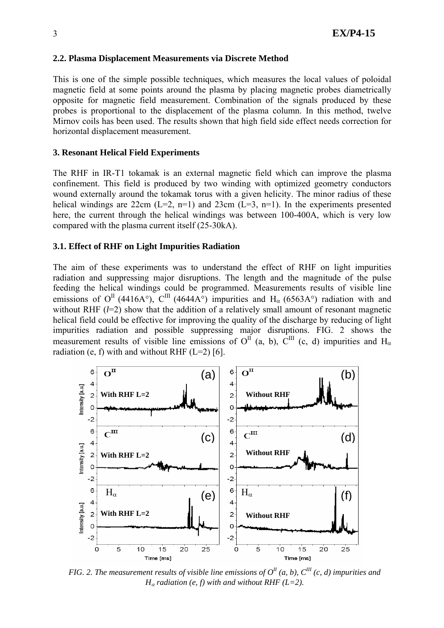### **2.2. Plasma Displacement Measurements via Discrete Method**

This is one of the simple possible techniques, which measures the local values of poloidal magnetic field at some points around the plasma by placing magnetic probes diametrically opposite for magnetic field measurement. Combination of the signals produced by these probes is proportional to the displacement of the plasma column. In this method, twelve Mirnov coils has been used. The results shown that high field side effect needs correction for horizontal displacement measurement.

### **3. Resonant Helical Field Experiments**

The RHF in IR-T1 tokamak is an external magnetic field which can improve the plasma confinement. This field is produced by two winding with optimized geometry conductors wound externally around the tokamak torus with a given helicity. The minor radius of these helical windings are 22cm  $(L=2, n=1)$  and 23cm  $(L=3, n=1)$ . In the experiments presented here, the current through the helical windings was between 100-400A, which is very low compared with the plasma current itself (25-30kA).

### **3.1. Effect of RHF on Light Impurities Radiation**

The aim of these experiments was to understand the effect of RHF on light impurities radiation and suppressing major disruptions. The length and the magnitude of the pulse feeding the helical windings could be programmed. Measurements results of visible line emissions of  $O^{\text{II}}$  (4416A°),  $C^{\text{III}}$  (4644A°) impurities and  $H_{\alpha}$  (6563A°) radiation with and without RHF (*l*=2) show that the addition of a relatively small amount of resonant magnetic helical field could be effective for improving the quality of the discharge by reducing of light impurities radiation and possible suppressing major disruptions. FIG. 2 shows the measurement results of visible line emissions of  $O^{II}$  (a, b),  $C^{III}$  (c, d) impurities and H<sub>a</sub> radiation (e, f) with and without RHF  $(L=2)$  [6].



*FIG.* 2. The measurement results of visible line emissions of  $O<sup>II</sup>$  (a, b),  $C<sup>III</sup>$  (c, d) impurities and  $H_{\alpha}$  *radiation (e, f)* with and without RHF (L=2).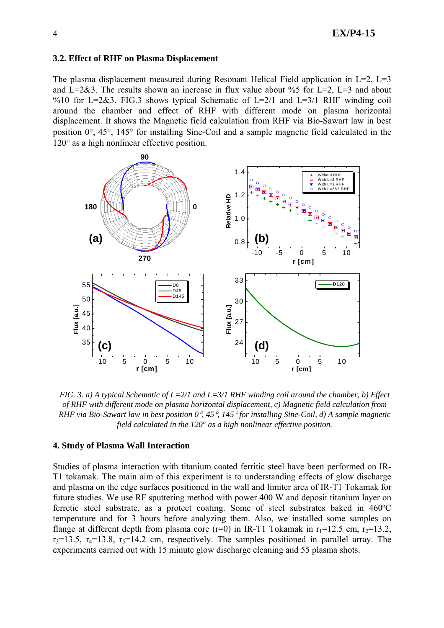4 **EX/P4-15** 

## **3.2. Effect of RHF on Plasma Displacement**

The plasma displacement measured during Resonant Helical Field application in  $L=2$ ,  $L=3$ and  $L=2\&3$ . The results shown an increase in flux value about %5 for L=2, L=3 and about %10 for L=2&3. FIG.3 shows typical Schematic of L=2/1 and L=3/1 RHF winding coil around the chamber and effect of RHF with different mode on plasma horizontal displacement. It shows the Magnetic field calculation from RHF via Bio-Sawart law in best position 0°, 45°, 145° for installing Sine-Coil and a sample magnetic field calculated in the 120° as a high nonlinear effective position.



*FIG. 3. a) A typical Schematic of L=2/1 and L=3/1 RHF winding coil around the chamber, b) Effect of RHF with different mode on plasma horizontal displacement, c) Magnetic field calculation from RHF via Bio-Sawart law in best position 0*°*, 45*°*, 145*° *for installing Sine-Coil, d) A sample magnetic field calculated in the 120*° *as a high nonlinear effective position.* 

#### **4. Study of Plasma Wall Interaction**

Studies of plasma interaction with titanium coated ferritic steel have been performed on IR-T1 tokamak. The main aim of this experiment is to understanding effects of glow discharge and plasma on the edge surfaces positioned in the wall and limiter area of IR-T1 Tokamak for future studies. We use RF sputtering method with power 400 W and deposit titanium layer on ferretic steel substrate, as a protect coating. Some of steel substrates baked in 460ºC temperature and for 3 hours before analyzing them. Also, we installed some samples on flange at different depth from plasma core (r=0) in IR-T1 Tokamak in  $r_1$ =12.5 cm, r<sub>2</sub>=13.2,  $r_3=13.5$ ,  $r_4=13.8$ ,  $r_5=14.2$  cm, respectively. The samples positioned in parallel array. The experiments carried out with 15 minute glow discharge cleaning and 55 plasma shots.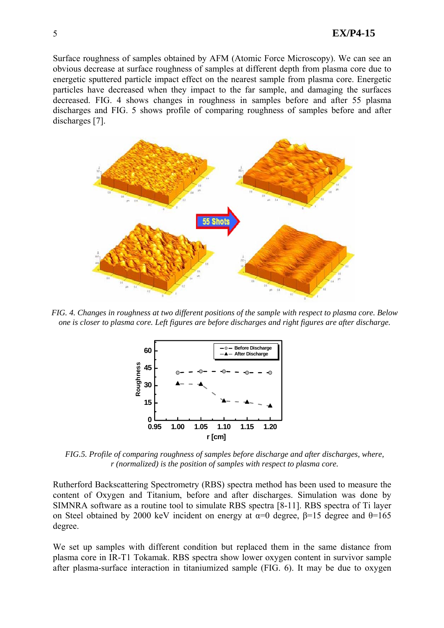Surface roughness of samples obtained by AFM (Atomic Force Microscopy). We can see an obvious decrease at surface roughness of samples at different depth from plasma core due to energetic sputtered particle impact effect on the nearest sample from plasma core. Energetic particles have decreased when they impact to the far sample, and damaging the surfaces decreased. FIG. 4 shows changes in roughness in samples before and after 55 plasma discharges and FIG. 5 shows profile of comparing roughness of samples before and after discharges [7].



*FIG. 4. Changes in roughness at two different positions of the sample with respect to plasma core. Below one is closer to plasma core. Left figures are before discharges and right figures are after discharge.* 



*FIG.5. Profile of comparing roughness of samples before discharge and after discharges, where, r (normalized) is the position of samples with respect to plasma core.* 

Rutherford Backscattering Spectrometry (RBS) spectra method has been used to measure the content of Oxygen and Titanium, before and after discharges. Simulation was done by SIMNRA software as a routine tool to simulate RBS spectra [8-11]. RBS spectra of Ti layer on Steel obtained by 2000 keV incident on energy at  $\alpha=0$  degree,  $\beta=15$  degree and  $\theta=165$ degree.

We set up samples with different condition but replaced them in the same distance from plasma core in IR-T1 Tokamak. RBS spectra show lower oxygen content in survivor sample after plasma-surface interaction in titaniumized sample (FIG. 6). It may be due to oxygen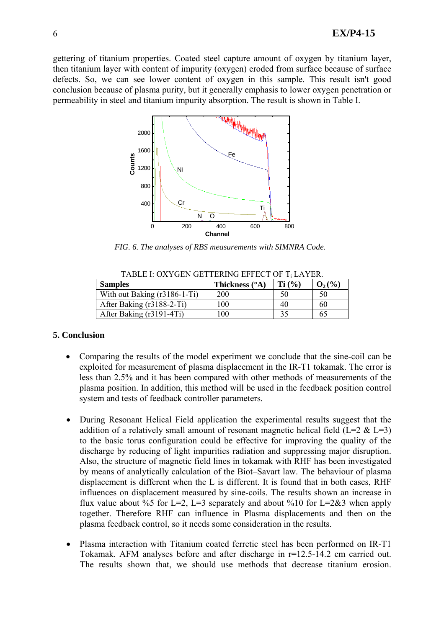gettering of titanium properties. Coated steel capture amount of oxygen by titanium layer, then titanium layer with content of impurity (oxygen) eroded from surface because of surface defects. So, we can see lower content of oxygen in this sample. This result isn't good conclusion because of plasma purity, but it generally emphasis to lower oxygen penetration or permeability in steel and titanium impurity absorption. The result is shown in Table I.



*FIG. 6. The analyses of RBS measurements with SIMNRA Code.* 

| <b>Samples</b>               | Thickness (°A) | Ti (%) | $O_2(\%)$ |
|------------------------------|----------------|--------|-----------|
| With out Baking (r3186-1-Ti) | 200            | 50     | 50        |
| After Baking (r3188-2-Ti)    | 100            | 40     | 60        |
| After Baking (r3191-4Ti)     | 100            |        | 65        |

TABLE I: OXYGEN GETTERING EFFECT OF Ti LAYER.

## **5. Conclusion**

- Comparing the results of the model experiment we conclude that the sine-coil can be exploited for measurement of plasma displacement in the IR-T1 tokamak. The error is less than 2.5% and it has been compared with other methods of measurements of the plasma position. In addition, this method will be used in the feedback position control system and tests of feedback controller parameters.
- During Resonant Helical Field application the experimental results suggest that the addition of a relatively small amount of resonant magnetic helical field ( $L=2 \& L=3$ ) to the basic torus configuration could be effective for improving the quality of the discharge by reducing of light impurities radiation and suppressing major disruption. Also, the structure of magnetic field lines in tokamak with RHF has been investigated by means of analytically calculation of the Biot–Savart law. The behaviour of plasma displacement is different when the L is different. It is found that in both cases, RHF influences on displacement measured by sine-coils. The results shown an increase in flux value about %5 for L=2, L=3 separately and about %10 for L=2&3 when apply together. Therefore RHF can influence in Plasma displacements and then on the plasma feedback control, so it needs some consideration in the results.
- Plasma interaction with Titanium coated ferretic steel has been performed on IR-T1 Tokamak. AFM analyses before and after discharge in r=12.5-14.2 cm carried out. The results shown that, we should use methods that decrease titanium erosion.